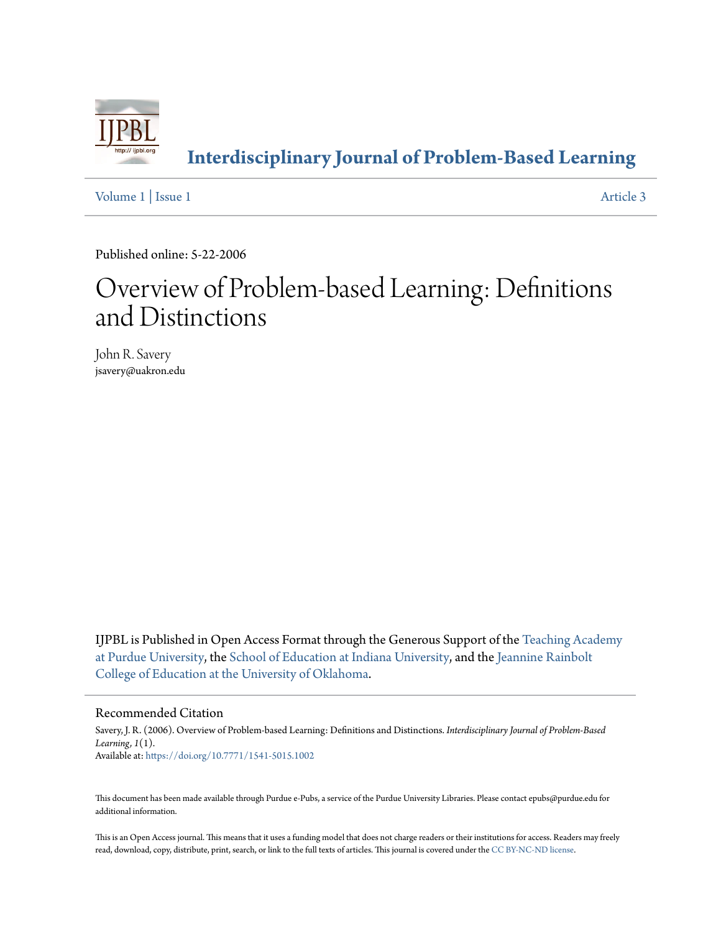

# **[Interdisciplinary Journal of Problem-Based Learning](https://docs.lib.purdue.edu/ijpbl)**

[Volume 1](https://docs.lib.purdue.edu/ijpbl/vol1) | [Issue 1](https://docs.lib.purdue.edu/ijpbl/vol1/iss1) [Article 3](https://docs.lib.purdue.edu/ijpbl/vol1/iss1/3)

Published online: 5-22-2006

# Overview of Problem-based Learning: Definitions and Distinctions

John R. Savery jsavery@uakron.edu

IJPBL is Published in Open Access Format through the Generous Support of the [Teaching Academy](https://www.purdue.edu/cie/aboutus/teachingacademy.html) [at Purdue University](https://www.purdue.edu/cie/aboutus/teachingacademy.html), the [School of Education at Indiana University,](https://education.indiana.edu/index.html) and the [Jeannine Rainbolt](http://ou.edu/education) [College of Education at the University of Oklahoma](http://ou.edu/education).

#### Recommended Citation

Savery, J. R. (2006). Overview of Problem-based Learning: Definitions and Distinctions. *Interdisciplinary Journal of Problem-Based Learning, 1*(1). Available at: <https://doi.org/10.7771/1541-5015.1002>

This document has been made available through Purdue e-Pubs, a service of the Purdue University Libraries. Please contact epubs@purdue.edu for additional information.

This is an Open Access journal. This means that it uses a funding model that does not charge readers or their institutions for access. Readers may freely read, download, copy, distribute, print, search, or link to the full texts of articles. This journal is covered under the [CC BY-NC-ND license.](https://creativecommons.org/licenses/by-nc-nd/4.0/)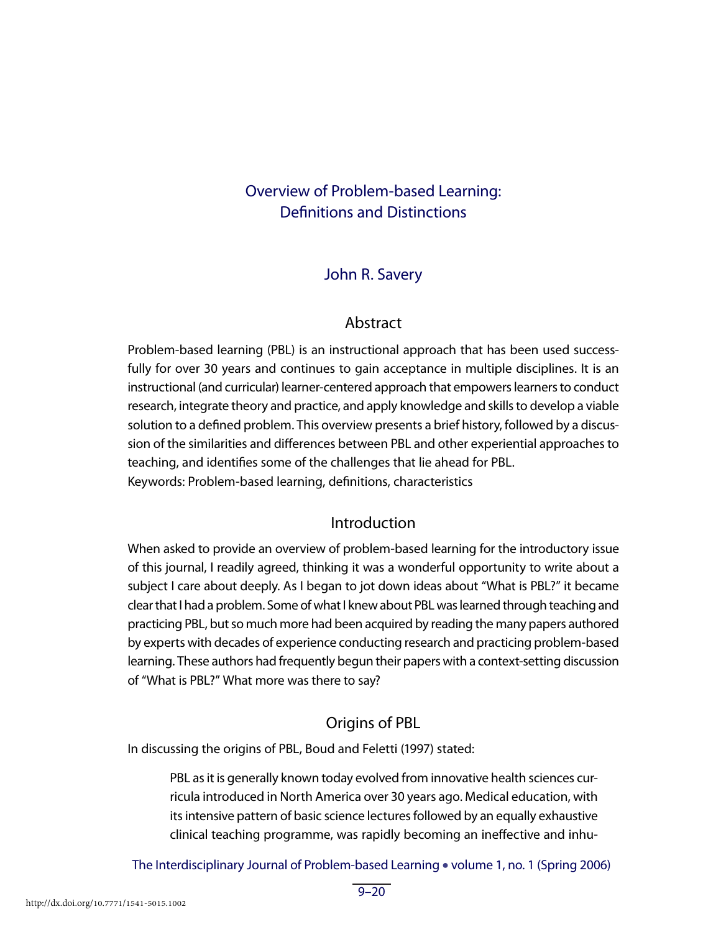# Overview of Problem-based Learning: Definitions and Distinctions

## John R. Savery

## Abstract

Problem-based learning (PBL) is an instructional approach that has been used successfully for over 30 years and continues to gain acceptance in multiple disciplines. It is an instructional (and curricular) learner-centered approach that empowers learners to conduct research, integrate theory and practice, and apply knowledge and skills to develop a viable solution to a defined problem. This overview presents a brief history, followed by a discussion of the similarities and differences between PBL and other experiential approaches to teaching, and identifies some of the challenges that lie ahead for PBL. Keywords: Problem-based learning, definitions, characteristics

# Introduction

When asked to provide an overview of problem-based learning for the introductory issue of this journal, I readily agreed, thinking it was a wonderful opportunity to write about a subject I care about deeply. As I began to jot down ideas about "What is PBL?" it became clear that I had a problem. Some of what I knew about PBL was learned through teaching and practicing PBL, but so much more had been acquired by reading the many papers authored by experts with decades of experience conducting research and practicing problem-based learning. These authors had frequently begun their papers with a context-setting discussion of "What is PBL?" What more was there to say?

# Origins of PBL

In discussing the origins of PBL, Boud and Feletti (1997) stated:

PBL as it is generally known today evolved from innovative health sciences curricula introduced in North America over 30 years ago. Medical education, with its intensive pattern of basic science lectures followed by an equally exhaustive clinical teaching programme, was rapidly becoming an ineffective and inhu-

The Interdisciplinary Journal of Problem-based Learning • volume 1, no. 1 (Spring 2006)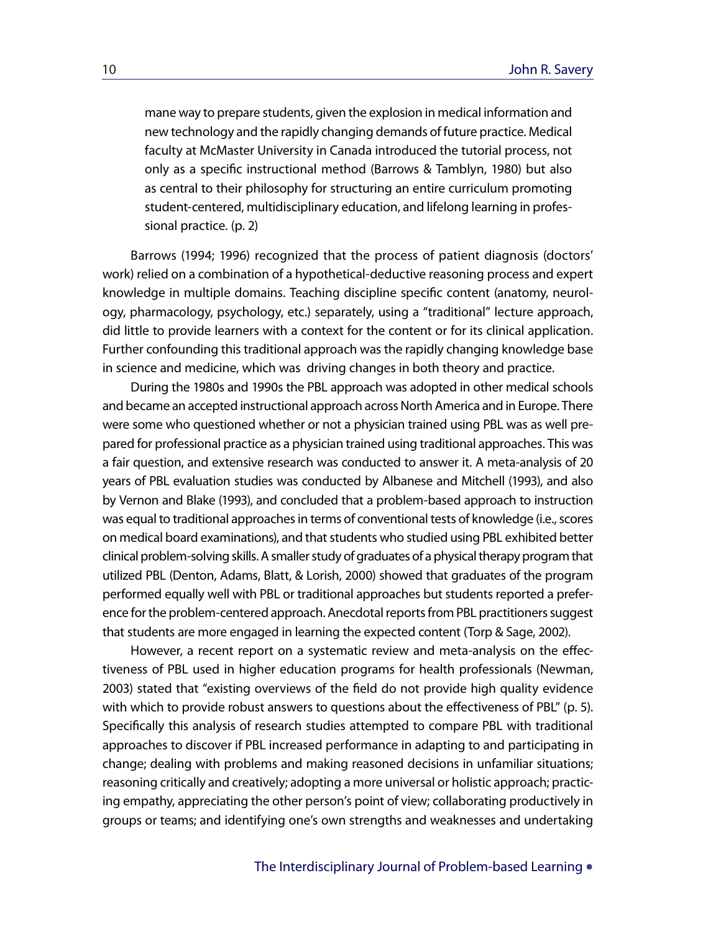mane way to prepare students, given the explosion in medical information and new technology and the rapidly changing demands of future practice. Medical faculty at McMaster University in Canada introduced the tutorial process, not only as a specific instructional method (Barrows & Tamblyn, 1980) but also as central to their philosophy for structuring an entire curriculum promoting student-centered, multidisciplinary education, and lifelong learning in professional practice. (p. 2)

Barrows (1994; 1996) recognized that the process of patient diagnosis (doctors' work) relied on a combination of a hypothetical-deductive reasoning process and expert knowledge in multiple domains. Teaching discipline specific content (anatomy, neurology, pharmacology, psychology, etc.) separately, using a "traditional" lecture approach, did little to provide learners with a context for the content or for its clinical application. Further confounding this traditional approach was the rapidly changing knowledge base in science and medicine, which was driving changes in both theory and practice.

During the 1980s and 1990s the PBL approach was adopted in other medical schools and became an accepted instructional approach across North America and in Europe. There were some who questioned whether or not a physician trained using PBL was as well prepared for professional practice as a physician trained using traditional approaches. This was a fair question, and extensive research was conducted to answer it. A meta-analysis of 20 years of PBL evaluation studies was conducted by Albanese and Mitchell (1993), and also by Vernon and Blake (1993), and concluded that a problem-based approach to instruction was equal to traditional approaches in terms of conventional tests of knowledge (i.e., scores on medical board examinations), and that students who studied using PBL exhibited better clinical problem-solving skills. A smaller study of graduates of a physical therapy program that utilized PBL (Denton, Adams, Blatt, & Lorish, 2000) showed that graduates of the program performed equally well with PBL or traditional approaches but students reported a preference for the problem-centered approach. Anecdotal reports from PBL practitioners suggest that students are more engaged in learning the expected content (Torp & Sage, 2002).

However, a recent report on a systematic review and meta-analysis on the effectiveness of PBL used in higher education programs for health professionals (Newman, 2003) stated that "existing overviews of the field do not provide high quality evidence with which to provide robust answers to questions about the effectiveness of PBL" (p. 5). Specifically this analysis of research studies attempted to compare PBL with traditional approaches to discover if PBL increased performance in adapting to and participating in change; dealing with problems and making reasoned decisions in unfamiliar situations; reasoning critically and creatively; adopting a more universal or holistic approach; practicing empathy, appreciating the other person's point of view; collaborating productively in groups or teams; and identifying one's own strengths and weaknesses and undertaking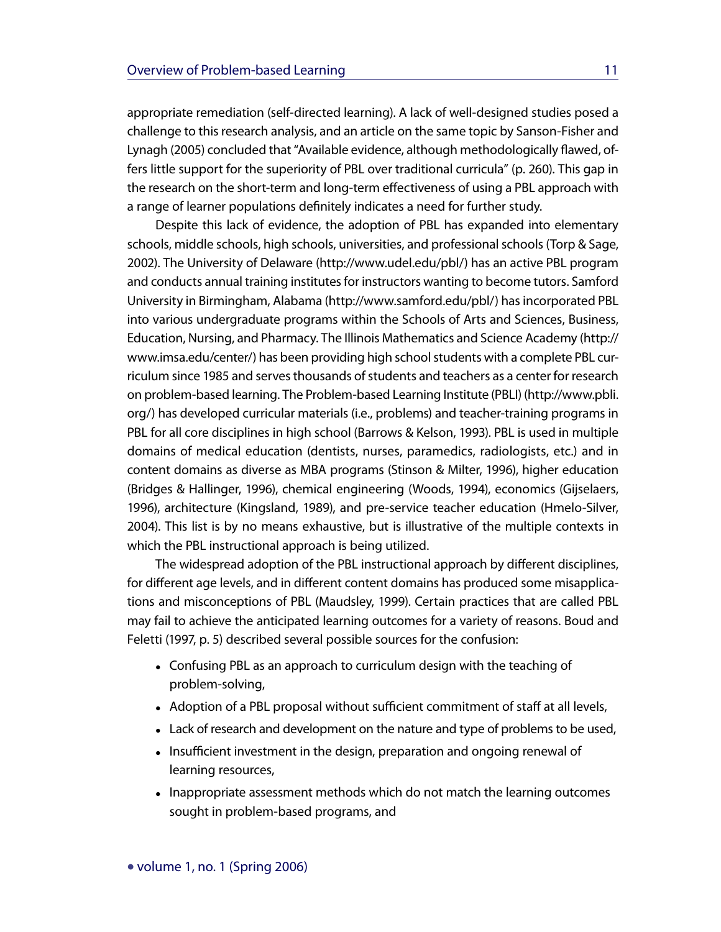appropriate remediation (self-directed learning). A lack of well-designed studies posed a challenge to this research analysis, and an article on the same topic by Sanson-Fisher and Lynagh (2005) concluded that "Available evidence, although methodologically flawed, offers little support for the superiority of PBL over traditional curricula" (p. 260). This gap in the research on the short-term and long-term effectiveness of using a PBL approach with a range of learner populations definitely indicates a need for further study.

Despite this lack of evidence, the adoption of PBL has expanded into elementary schools, middle schools, high schools, universities, and professional schools (Torp & Sage, 2002). The University of Delaware (http://www.udel.edu/pbl/) has an active PBL program and conducts annual training institutes for instructors wanting to become tutors. Samford University in Birmingham, Alabama (http://www.samford.edu/pbl/) has incorporated PBL into various undergraduate programs within the Schools of Arts and Sciences, Business, Education, Nursing, and Pharmacy. The Illinois Mathematics and Science Academy (http:// www.imsa.edu/center/) has been providing high school students with a complete PBL curriculum since 1985 and serves thousands of students and teachers as a center for research on problem-based learning. The Problem-based Learning Institute (PBLI) (http://www.pbli. org/) has developed curricular materials (i.e., problems) and teacher-training programs in PBL for all core disciplines in high school (Barrows & Kelson, 1993). PBL is used in multiple domains of medical education (dentists, nurses, paramedics, radiologists, etc.) and in content domains as diverse as MBA programs (Stinson & Milter, 1996), higher education (Bridges & Hallinger, 1996), chemical engineering (Woods, 1994), economics (Gijselaers, 1996), architecture (Kingsland, 1989), and pre-service teacher education (Hmelo-Silver, 2004). This list is by no means exhaustive, but is illustrative of the multiple contexts in which the PBL instructional approach is being utilized.

The widespread adoption of the PBL instructional approach by different disciplines, for different age levels, and in different content domains has produced some misapplications and misconceptions of PBL (Maudsley, 1999). Certain practices that are called PBL may fail to achieve the anticipated learning outcomes for a variety of reasons. Boud and Feletti (1997, p. 5) described several possible sources for the confusion:

- Confusing PBL as an approach to curriculum design with the teaching of problem-solving,
- Adoption of a PBL proposal without sufficient commitment of staff at all levels,
- Lack of research and development on the nature and type of problems to be used,
- Insufficient investment in the design, preparation and ongoing renewal of learning resources,
- Inappropriate assessment methods which do not match the learning outcomes sought in problem-based programs, and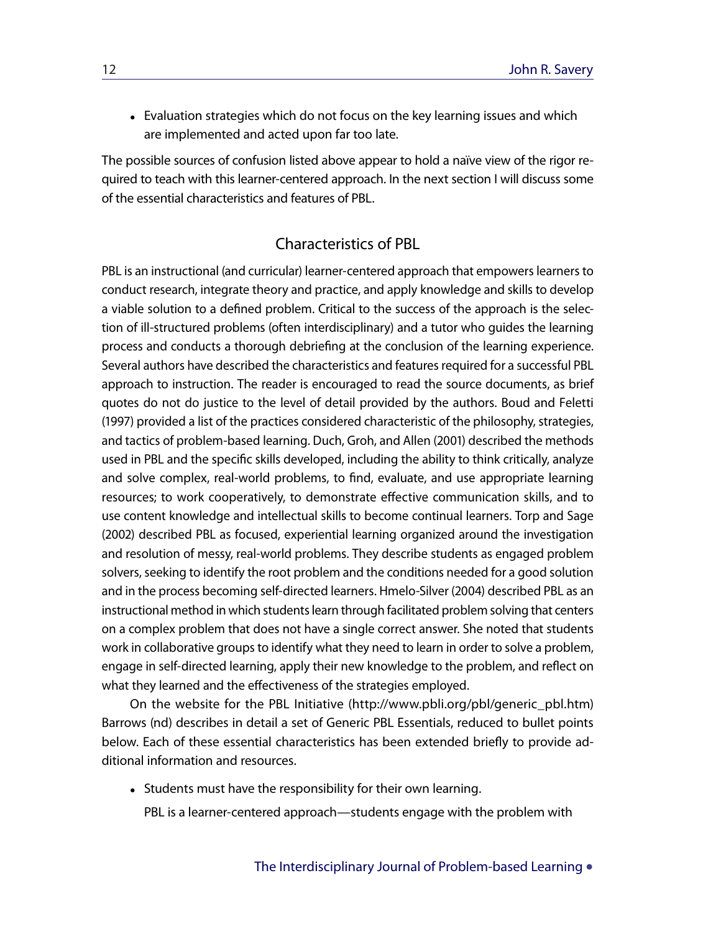• Evaluation strategies which do not focus on the key learning issues and which are implemented and acted upon far too late.

The possible sources of confusion listed above appear to hold a naïve view of the rigor required to teach with this learner-centered approach. In the next section I will discuss some of the essential characteristics and features of PBL.

## Characteristics of PBL

PBL is an instructional (and curricular) learner-centered approach that empowers learners to conduct research, integrate theory and practice, and apply knowledge and skills to develop a viable solution to a defined problem. Critical to the success of the approach is the selection of ill-structured problems (often interdisciplinary) and a tutor who guides the learning process and conducts a thorough debriefing at the conclusion of the learning experience. Several authors have described the characteristics and features required for a successful PBL approach to instruction. The reader is encouraged to read the source documents, as brief quotes do not do justice to the level of detail provided by the authors. Boud and Feletti (1997) provided a list of the practices considered characteristic of the philosophy, strategies, and tactics of problem-based learning. Duch, Groh, and Allen (2001) described the methods used in PBL and the specific skills developed, including the ability to think critically, analyze and solve complex, real-world problems, to find, evaluate, and use appropriate learning resources; to work cooperatively, to demonstrate effective communication skills, and to use content knowledge and intellectual skills to become continual learners. Torp and Sage (2002) described PBL as focused, experiential learning organized around the investigation and resolution of messy, real-world problems. They describe students as engaged problem solvers, seeking to identify the root problem and the conditions needed for a good solution and in the process becoming self-directed learners. Hmelo-Silver (2004) described PBL as an instructional method in which students learn through facilitated problem solving that centers on a complex problem that does not have a single correct answer. She noted that students work in collaborative groups to identify what they need to learn in order to solve a problem, engage in self-directed learning, apply their new knowledge to the problem, and reflect on what they learned and the effectiveness of the strategies employed.

On the website for the PBL Initiative (http://www.pbli.org/pbl/generic\_pbl.htm) Barrows (nd) describes in detail a set of Generic PBL Essentials, reduced to bullet points below. Each of these essential characteristics has been extended briefly to provide additional information and resources.

• Students must have the responsibility for their own learning.

PBL is a learner-centered approach—students engage with the problem with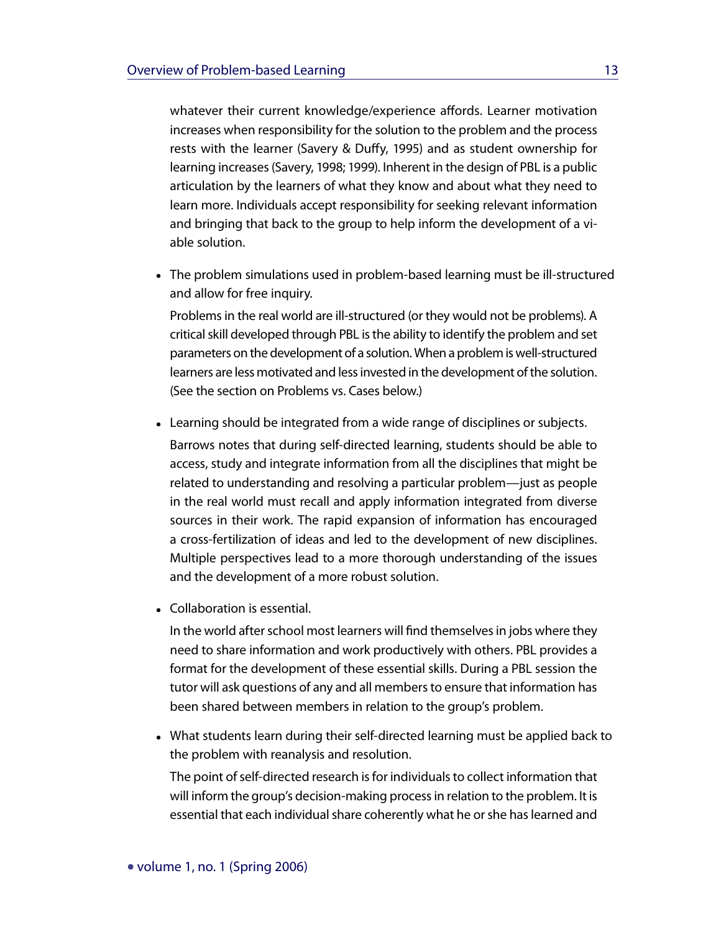whatever their current knowledge/experience affords. Learner motivation increases when responsibility for the solution to the problem and the process rests with the learner (Savery & Duffy, 1995) and as student ownership for learning increases (Savery, 1998; 1999). Inherent in the design of PBL is a public articulation by the learners of what they know and about what they need to learn more. Individuals accept responsibility for seeking relevant information and bringing that back to the group to help inform the development of a viable solution.

• The problem simulations used in problem-based learning must be ill-structured and allow for free inquiry.

Problems in the real world are ill-structured (or they would not be problems). A critical skill developed through PBL is the ability to identify the problem and set parameters on the development of a solution. When a problem is well-structured learners are less motivated and less invested in the development of the solution. (See the section on Problems vs. Cases below.)

- Learning should be integrated from a wide range of disciplines or subjects. Barrows notes that during self-directed learning, students should be able to access, study and integrate information from all the disciplines that might be related to understanding and resolving a particular problem—just as people in the real world must recall and apply information integrated from diverse sources in their work. The rapid expansion of information has encouraged a cross-fertilization of ideas and led to the development of new disciplines. Multiple perspectives lead to a more thorough understanding of the issues and the development of a more robust solution.
- Collaboration is essential.

In the world after school most learners will find themselves in jobs where they need to share information and work productively with others. PBL provides a format for the development of these essential skills. During a PBL session the tutor will ask questions of any and all members to ensure that information has been shared between members in relation to the group's problem.

• What students learn during their self-directed learning must be applied back to the problem with reanalysis and resolution.

The point of self-directed research is for individuals to collect information that will inform the group's decision-making process in relation to the problem. It is essential that each individual share coherently what he or she has learned and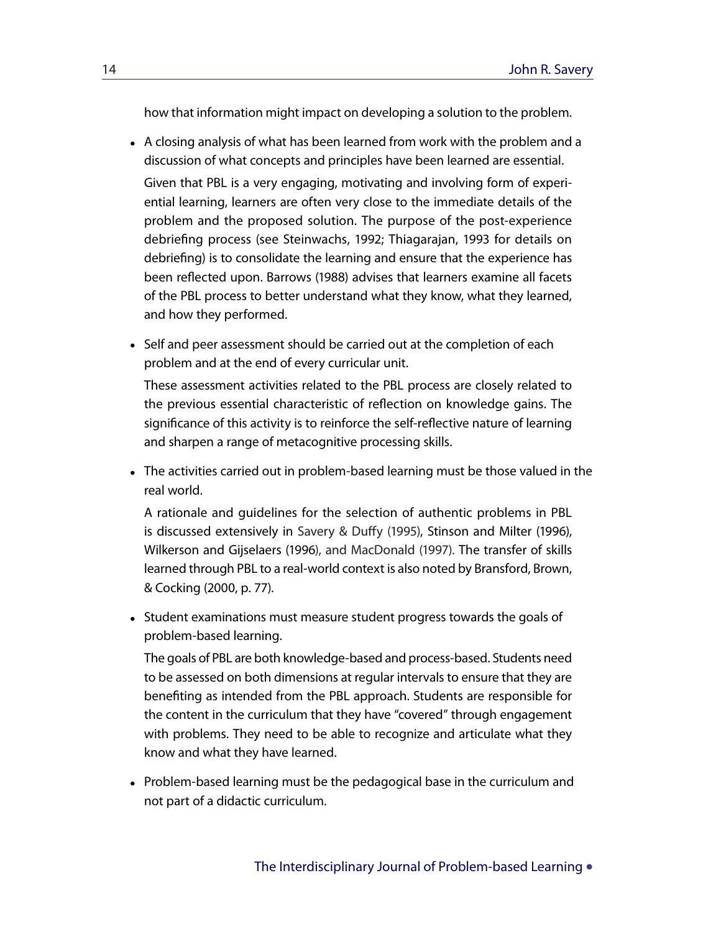how that information might impact on developing a solution to the problem.

- A closing analysis of what has been learned from work with the problem and a discussion of what concepts and principles have been learned are essential. Given that PBL is a very engaging, motivating and involving form of experiential learning, learners are often very close to the immediate details of the problem and the proposed solution. The purpose of the post-experience debriefing process (see Steinwachs, 1992; Thiagarajan, 1993 for details on debriefing) is to consolidate the learning and ensure that the experience has been reflected upon. Barrows (1988) advises that learners examine all facets of the PBL process to better understand what they know, what they learned, and how they performed.
- Self and peer assessment should be carried out at the completion of each problem and at the end of every curricular unit.

These assessment activities related to the PBL process are closely related to the previous essential characteristic of reflection on knowledge gains. The significance of this activity is to reinforce the self-reflective nature of learning and sharpen a range of metacognitive processing skills.

• The activities carried out in problem-based learning must be those valued in the real world.

A rationale and guidelines for the selection of authentic problems in PBL is discussed extensively in Savery & Duffy (1995), Stinson and Milter (1996), Wilkerson and Gijselaers (1996), and MacDonald (1997). The transfer of skills learned through PBL to a real-world context is also noted by Bransford, Brown, & Cocking (2000, p. 77).

• Student examinations must measure student progress towards the goals of problem-based learning.

The goals of PBL are both knowledge-based and process-based. Students need to be assessed on both dimensions at regular intervals to ensure that they are benefiting as intended from the PBL approach. Students are responsible for the content in the curriculum that they have "covered" through engagement with problems. They need to be able to recognize and articulate what they know and what they have learned.

• Problem-based learning must be the pedagogical base in the curriculum and not part of a didactic curriculum.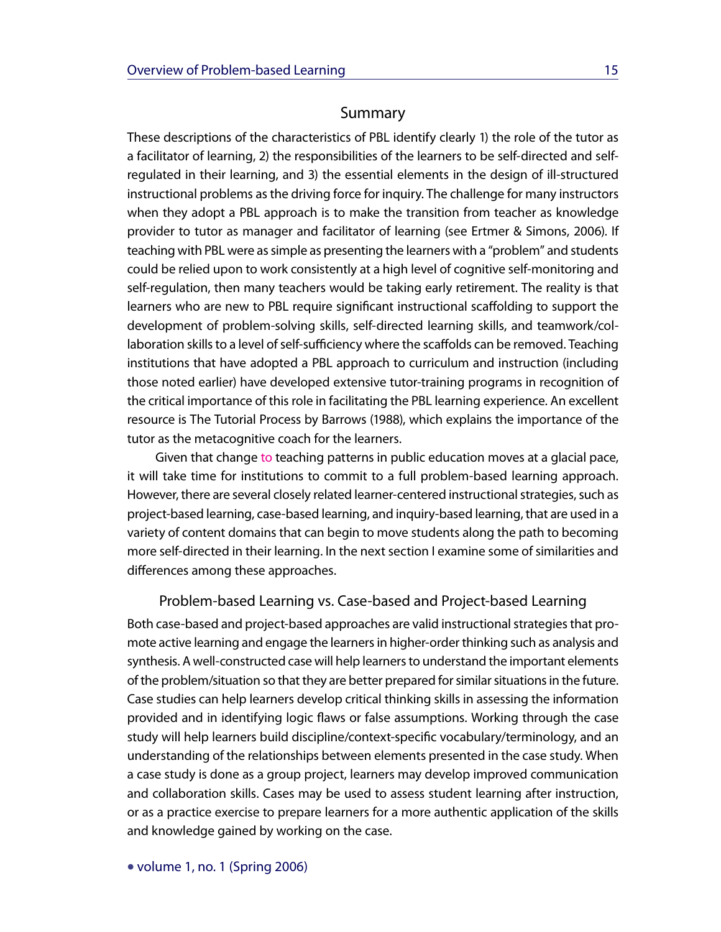### Summary

These descriptions of the characteristics of PBL identify clearly 1) the role of the tutor as a facilitator of learning, 2) the responsibilities of the learners to be self-directed and selfregulated in their learning, and 3) the essential elements in the design of ill-structured instructional problems as the driving force for inquiry. The challenge for many instructors when they adopt a PBL approach is to make the transition from teacher as knowledge provider to tutor as manager and facilitator of learning (see Ertmer & Simons, 2006). If teaching with PBL were as simple as presenting the learners with a "problem" and students could be relied upon to work consistently at a high level of cognitive self-monitoring and self-regulation, then many teachers would be taking early retirement. The reality is that learners who are new to PBL require significant instructional scaffolding to support the development of problem-solving skills, self-directed learning skills, and teamwork/collaboration skills to a level of self-sufficiency where the scaffolds can be removed. Teaching institutions that have adopted a PBL approach to curriculum and instruction (including those noted earlier) have developed extensive tutor-training programs in recognition of the critical importance of this role in facilitating the PBL learning experience. An excellent resource is The Tutorial Process by Barrows (1988), which explains the importance of the tutor as the metacognitive coach for the learners.

Given that change to teaching patterns in public education moves at a glacial pace, it will take time for institutions to commit to a full problem-based learning approach. However, there are several closely related learner-centered instructional strategies, such as project-based learning, case-based learning, and inquiry-based learning, that are used in a variety of content domains that can begin to move students along the path to becoming more self-directed in their learning. In the next section I examine some of similarities and differences among these approaches.

Problem-based Learning vs. Case-based and Project-based Learning Both case-based and project-based approaches are valid instructional strategies that promote active learning and engage the learners in higher-order thinking such as analysis and synthesis. A well-constructed case will help learners to understand the important elements of the problem/situation so that they are better prepared for similar situations in the future. Case studies can help learners develop critical thinking skills in assessing the information provided and in identifying logic flaws or false assumptions. Working through the case study will help learners build discipline/context-specific vocabulary/terminology, and an understanding of the relationships between elements presented in the case study. When a case study is done as a group project, learners may develop improved communication and collaboration skills. Cases may be used to assess student learning after instruction, or as a practice exercise to prepare learners for a more authentic application of the skills and knowledge gained by working on the case.

• volume 1, no. 1 (Spring 2006)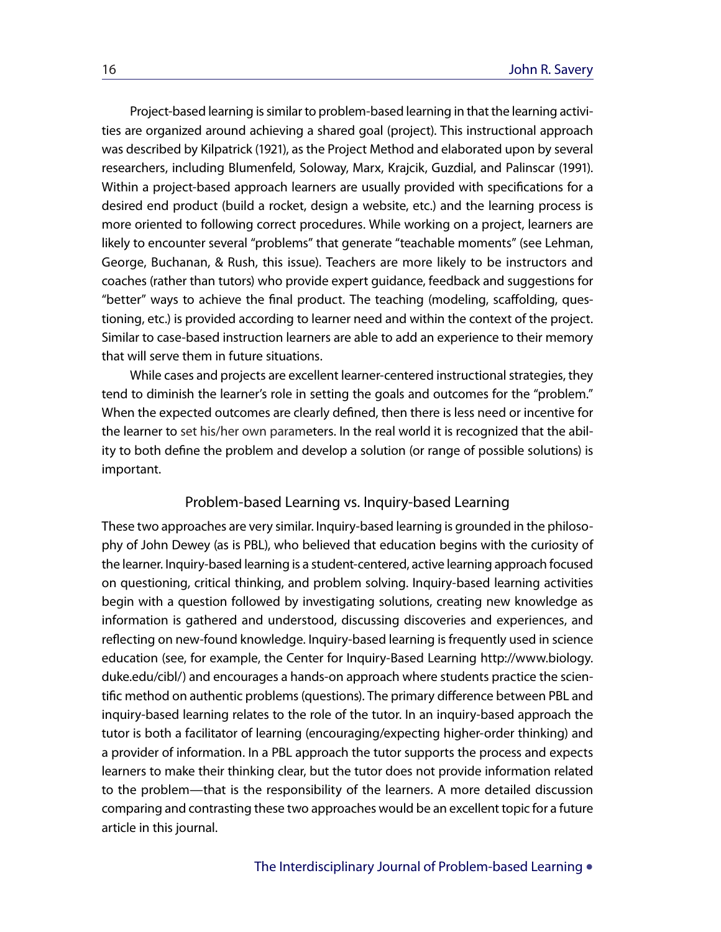Project-based learning is similar to problem-based learning in that the learning activities are organized around achieving a shared goal (project). This instructional approach was described by Kilpatrick (1921), as the Project Method and elaborated upon by several researchers, including Blumenfeld, Soloway, Marx, Krajcik, Guzdial, and Palinscar (1991). Within a project-based approach learners are usually provided with specifications for a desired end product (build a rocket, design a website, etc.) and the learning process is more oriented to following correct procedures. While working on a project, learners are likely to encounter several "problems" that generate "teachable moments" (see Lehman, George, Buchanan, & Rush, this issue). Teachers are more likely to be instructors and coaches (rather than tutors) who provide expert guidance, feedback and suggestions for "better" ways to achieve the final product. The teaching (modeling, scaffolding, questioning, etc.) is provided according to learner need and within the context of the project. Similar to case-based instruction learners are able to add an experience to their memory that will serve them in future situations.

While cases and projects are excellent learner-centered instructional strategies, they tend to diminish the learner's role in setting the goals and outcomes for the "problem." When the expected outcomes are clearly defined, then there is less need or incentive for the learner to set his/her own parameters. In the real world it is recognized that the ability to both define the problem and develop a solution (or range of possible solutions) is important.

#### Problem-based Learning vs. Inquiry-based Learning

These two approaches are very similar. Inquiry-based learning is grounded in the philosophy of John Dewey (as is PBL), who believed that education begins with the curiosity of the learner. Inquiry-based learning is a student-centered, active learning approach focused on questioning, critical thinking, and problem solving. Inquiry-based learning activities begin with a question followed by investigating solutions, creating new knowledge as information is gathered and understood, discussing discoveries and experiences, and reflecting on new-found knowledge. Inquiry-based learning is frequently used in science education (see, for example, the Center for Inquiry-Based Learning http://www.biology. duke.edu/cibl/) and encourages a hands-on approach where students practice the scientific method on authentic problems (questions). The primary difference between PBL and inquiry-based learning relates to the role of the tutor. In an inquiry-based approach the tutor is both a facilitator of learning (encouraging/expecting higher-order thinking) and a provider of information. In a PBL approach the tutor supports the process and expects learners to make their thinking clear, but the tutor does not provide information related to the problem—that is the responsibility of the learners. A more detailed discussion comparing and contrasting these two approaches would be an excellent topic for a future article in this journal.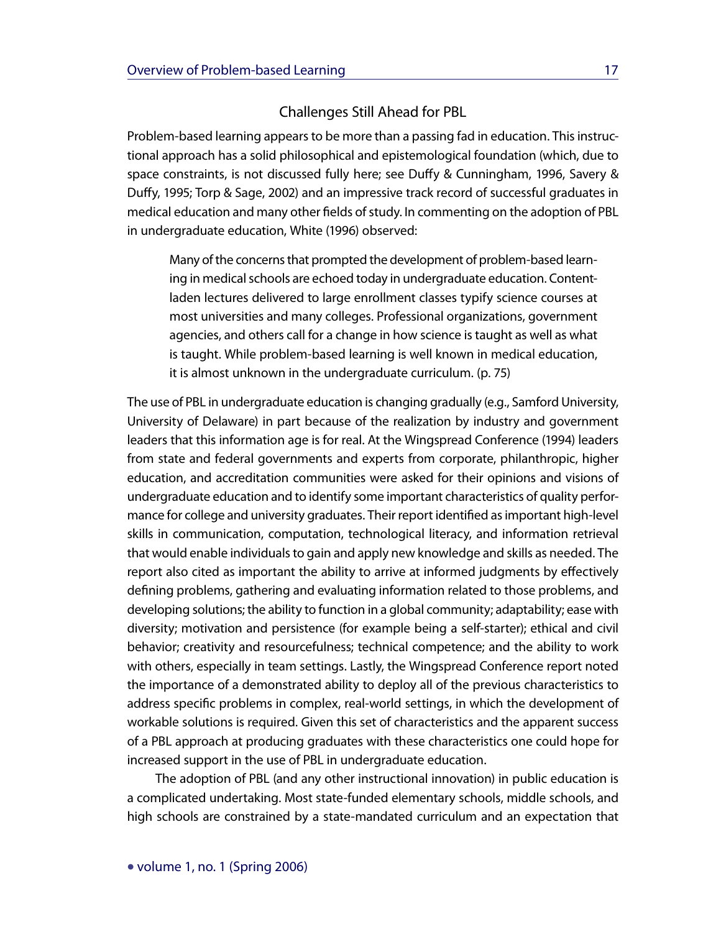### Challenges Still Ahead for PBL

Problem-based learning appears to be more than a passing fad in education. This instructional approach has a solid philosophical and epistemological foundation (which, due to space constraints, is not discussed fully here; see Duffy & Cunningham, 1996, Savery & Duffy, 1995; Torp & Sage, 2002) and an impressive track record of successful graduates in medical education and many other fields of study. In commenting on the adoption of PBL in undergraduate education, White (1996) observed:

Many of the concerns that prompted the development of problem-based learning in medical schools are echoed today in undergraduate education. Contentladen lectures delivered to large enrollment classes typify science courses at most universities and many colleges. Professional organizations, government agencies, and others call for a change in how science is taught as well as what is taught. While problem-based learning is well known in medical education, it is almost unknown in the undergraduate curriculum. (p. 75)

The use of PBL in undergraduate education is changing gradually (e.g., Samford University, University of Delaware) in part because of the realization by industry and government leaders that this information age is for real. At the Wingspread Conference (1994) leaders from state and federal governments and experts from corporate, philanthropic, higher education, and accreditation communities were asked for their opinions and visions of undergraduate education and to identify some important characteristics of quality performance for college and university graduates. Their report identified as important high-level skills in communication, computation, technological literacy, and information retrieval that would enable individuals to gain and apply new knowledge and skills as needed. The report also cited as important the ability to arrive at informed judgments by effectively defining problems, gathering and evaluating information related to those problems, and developing solutions; the ability to function in a global community; adaptability; ease with diversity; motivation and persistence (for example being a self-starter); ethical and civil behavior; creativity and resourcefulness; technical competence; and the ability to work with others, especially in team settings. Lastly, the Wingspread Conference report noted the importance of a demonstrated ability to deploy all of the previous characteristics to address specific problems in complex, real-world settings, in which the development of workable solutions is required. Given this set of characteristics and the apparent success of a PBL approach at producing graduates with these characteristics one could hope for increased support in the use of PBL in undergraduate education.

The adoption of PBL (and any other instructional innovation) in public education is a complicated undertaking. Most state-funded elementary schools, middle schools, and high schools are constrained by a state-mandated curriculum and an expectation that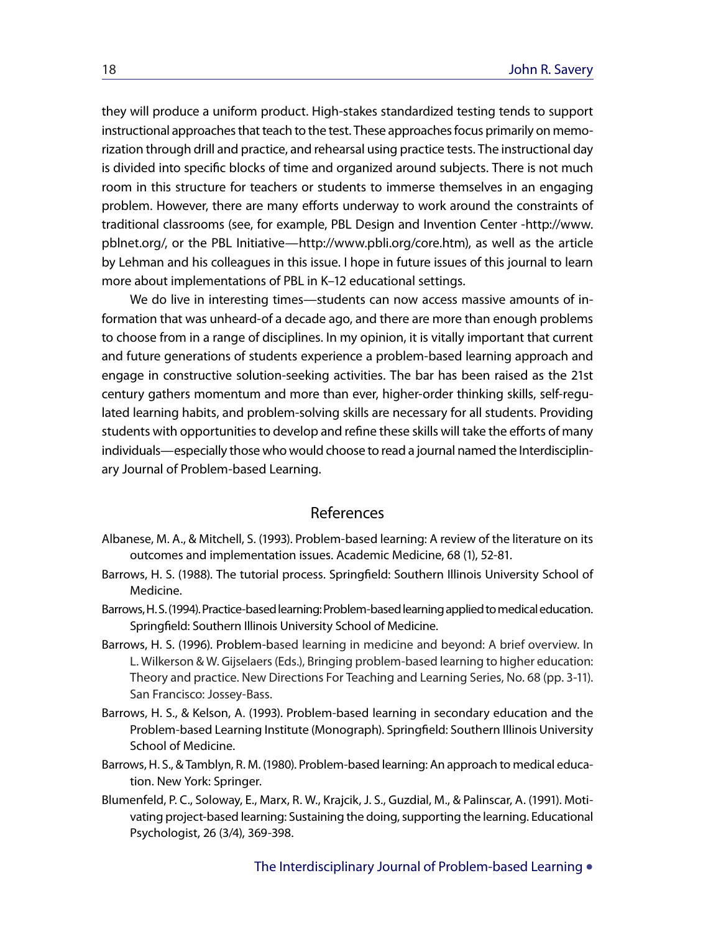they will produce a uniform product. High-stakes standardized testing tends to support instructional approaches that teach to the test. These approaches focus primarily on memorization through drill and practice, and rehearsal using practice tests. The instructional day is divided into specific blocks of time and organized around subjects. There is not much room in this structure for teachers or students to immerse themselves in an engaging problem. However, there are many efforts underway to work around the constraints of traditional classrooms (see, for example, PBL Design and Invention Center -http://www. pblnet.org/, or the PBL Initiative—http://www.pbli.org/core.htm), as well as the article by Lehman and his colleagues in this issue. I hope in future issues of this journal to learn more about implementations of PBL in K–12 educational settings.

We do live in interesting times—students can now access massive amounts of information that was unheard-of a decade ago, and there are more than enough problems to choose from in a range of disciplines. In my opinion, it is vitally important that current and future generations of students experience a problem-based learning approach and engage in constructive solution-seeking activities. The bar has been raised as the 21st century gathers momentum and more than ever, higher-order thinking skills, self-regulated learning habits, and problem-solving skills are necessary for all students. Providing students with opportunities to develop and refine these skills will take the efforts of many individuals—especially those who would choose to read a journal named the Interdisciplinary Journal of Problem-based Learning.

## References

- Albanese, M. A., & Mitchell, S. (1993). Problem-based learning: A review of the literature on its outcomes and implementation issues. Academic Medicine, 68 (1), 52-81.
- Barrows, H. S. (1988). The tutorial process. Springfield: Southern Illinois University School of Medicine.
- Barrows, H. S. (1994). Practice-based learning: Problem-based learning applied to medical education. Springfield: Southern Illinois University School of Medicine.
- Barrows, H. S. (1996). Problem-based learning in medicine and beyond: A brief overview. In L. Wilkerson & W. Gijselaers (Eds.), Bringing problem-based learning to higher education: Theory and practice. New Directions For Teaching and Learning Series, No. 68 (pp. 3-11). San Francisco: Jossey-Bass.
- Barrows, H. S., & Kelson, A. (1993). Problem-based learning in secondary education and the Problem-based Learning Institute (Monograph). Springfield: Southern Illinois University School of Medicine.
- Barrows, H. S., & Tamblyn, R. M. (1980). Problem-based learning: An approach to medical education. New York: Springer.
- Blumenfeld, P. C., Soloway, E., Marx, R. W., Krajcik, J. S., Guzdial, M., & Palinscar, A. (1991). Motivating project-based learning: Sustaining the doing, supporting the learning. Educational Psychologist, 26 (3/4), 369-398.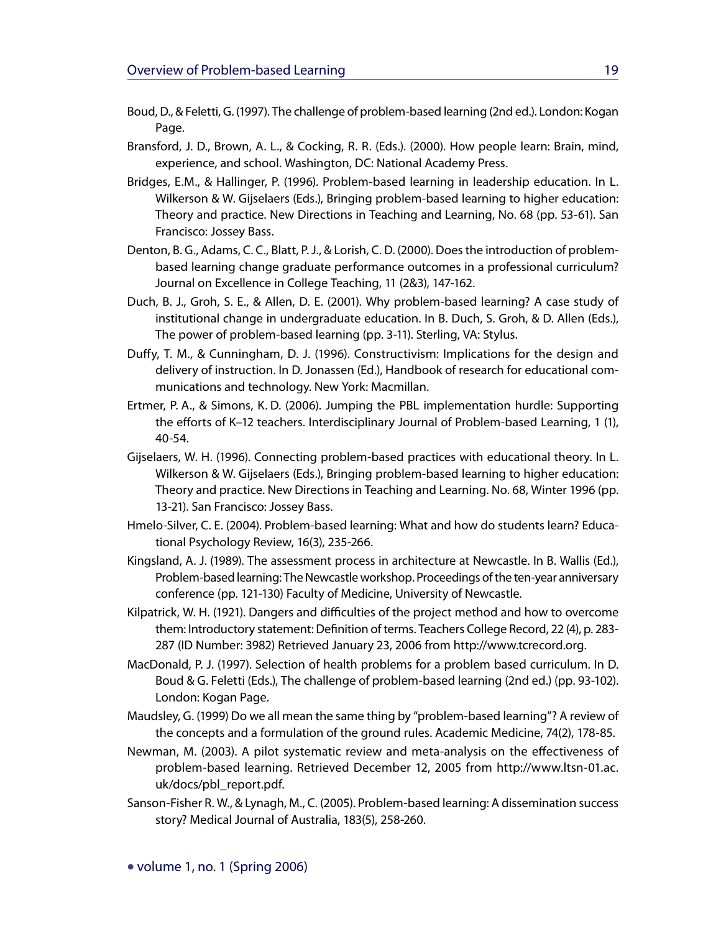- Boud, D., & Feletti, G. (1997). The challenge of problem-based learning (2nd ed.). London: Kogan Page.
- Bransford, J. D., Brown, A. L., & Cocking, R. R. (Eds.). (2000). How people learn: Brain, mind, experience, and school. Washington, DC: National Academy Press.
- Bridges, E.M., & Hallinger, P. (1996). Problem-based learning in leadership education. In L. Wilkerson & W. Gijselaers (Eds.), Bringing problem-based learning to higher education: Theory and practice. New Directions in Teaching and Learning, No. 68 (pp. 53-61). San Francisco: Jossey Bass.
- Denton, B. G., Adams, C. C., Blatt, P. J., & Lorish, C. D. (2000). Does the introduction of problembased learning change graduate performance outcomes in a professional curriculum? Journal on Excellence in College Teaching, 11 (2&3), 147-162.
- Duch, B. J., Groh, S. E., & Allen, D. E. (2001). Why problem-based learning? A case study of institutional change in undergraduate education. In B. Duch, S. Groh, & D. Allen (Eds.), The power of problem-based learning (pp. 3-11). Sterling, VA: Stylus.
- Duffy, T. M., & Cunningham, D. J. (1996). Constructivism: Implications for the design and delivery of instruction. In D. Jonassen (Ed.), Handbook of research for educational communications and technology. New York: Macmillan.
- Ertmer, P. A., & Simons, K. D. (2006). Jumping the PBL implementation hurdle: Supporting the efforts of K–12 teachers. Interdisciplinary Journal of Problem-based Learning, 1 (1), 40-54.
- Gijselaers, W. H. (1996). Connecting problem-based practices with educational theory. In L. Wilkerson & W. Gijselaers (Eds.), Bringing problem-based learning to higher education: Theory and practice. New Directions in Teaching and Learning. No. 68, Winter 1996 (pp. 13-21). San Francisco: Jossey Bass.
- Hmelo-Silver, C. E. (2004). Problem-based learning: What and how do students learn? Educational Psychology Review, 16(3), 235-266.
- Kingsland, A. J. (1989). The assessment process in architecture at Newcastle. In B. Wallis (Ed.), Problem-based learning: The Newcastle workshop. Proceedings of the ten-year anniversary conference (pp. 121-130) Faculty of Medicine, University of Newcastle.
- Kilpatrick, W. H. (1921). Dangers and difficulties of the project method and how to overcome them: Introductory statement: Definition of terms. Teachers College Record, 22 (4), p. 283- 287 (ID Number: 3982) Retrieved January 23, 2006 from http://www.tcrecord.org.
- MacDonald, P. J. (1997). Selection of health problems for a problem based curriculum. In D. Boud & G. Feletti (Eds.), The challenge of problem-based learning (2nd ed.) (pp. 93-102). London: Kogan Page.
- Maudsley, G. (1999) Do we all mean the same thing by "problem-based learning"? A review of the concepts and a formulation of the ground rules. Academic Medicine, 74(2), 178-85.
- Newman, M. (2003). A pilot systematic review and meta-analysis on the effectiveness of problem-based learning. Retrieved December 12, 2005 from http://www.ltsn-01.ac. uk/docs/pbl\_report.pdf.
- Sanson-Fisher R. W., & Lynagh, M., C. (2005). Problem-based learning: A dissemination success story? Medical Journal of Australia, 183(5), 258-260.

• volume 1, no. 1 (Spring 2006)